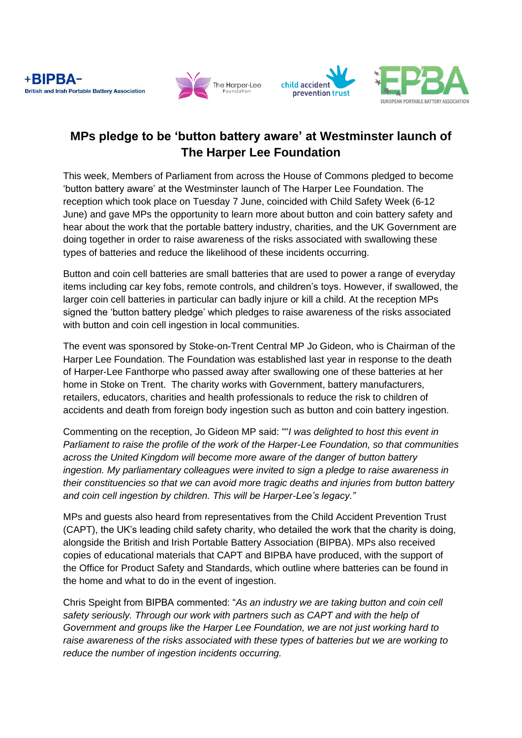





# **MPs pledge to be 'button battery aware' at Westminster launch of The Harper Lee Foundation**

This week, Members of Parliament from across the House of Commons pledged to become 'button battery aware' at the Westminster launch of The Harper Lee Foundation. The reception which took place on Tuesday 7 June, coincided with Child Safety Week (6-12 June) and gave MPs the opportunity to learn more about button and coin battery safety and hear about the work that the portable battery industry, charities, and the UK Government are doing together in order to raise awareness of the risks associated with swallowing these types of batteries and reduce the likelihood of these incidents occurring.

Button and coin cell batteries are small batteries that are used to power a range of everyday items including car key fobs, remote controls, and children's toys. However, if swallowed, the larger coin cell batteries in particular can badly injure or kill a child. At the reception MPs signed the 'button battery pledge' which pledges to raise awareness of the risks associated with button and coin cell ingestion in local communities.

The event was sponsored by Stoke-on-Trent Central MP Jo Gideon, who is Chairman of the Harper Lee Foundation. The Foundation was established last year in response to the death of Harper-Lee Fanthorpe who passed away after swallowing one of these batteries at her home in Stoke on Trent. The charity works with Government, battery manufacturers, retailers, educators, charities and health professionals to reduce the risk to children of accidents and death from foreign body ingestion such as button and coin battery ingestion.

Commenting on the reception, Jo Gideon MP said: ""*I was delighted to host this event in Parliament to raise the profile of the work of the Harper-Lee Foundation, so that communities across the United Kingdom will become more aware of the danger of button battery ingestion. My parliamentary colleagues were invited to sign a pledge to raise awareness in their constituencies so that we can avoid more tragic deaths and injuries from button battery and coin cell ingestion by children. This will be Harper-Lee's legacy."*

MPs and guests also heard from representatives from the Child Accident Prevention Trust (CAPT), the UK's leading child safety charity, who detailed the work that the charity is doing, alongside the British and Irish Portable Battery Association (BIPBA). MPs also received copies of educational materials that CAPT and BIPBA have produced, with the support of the Office for Product Safety and Standards, which outline where batteries can be found in the home and what to do in the event of ingestion.

Chris Speight from BIPBA commented: "*As an industry we are taking button and coin cell safety seriously. Through our work with partners such as CAPT and with the help of Government and groups like the Harper Lee Foundation, we are not just working hard to raise awareness of the risks associated with these types of batteries but we are working to reduce the number of ingestion incidents occurring.*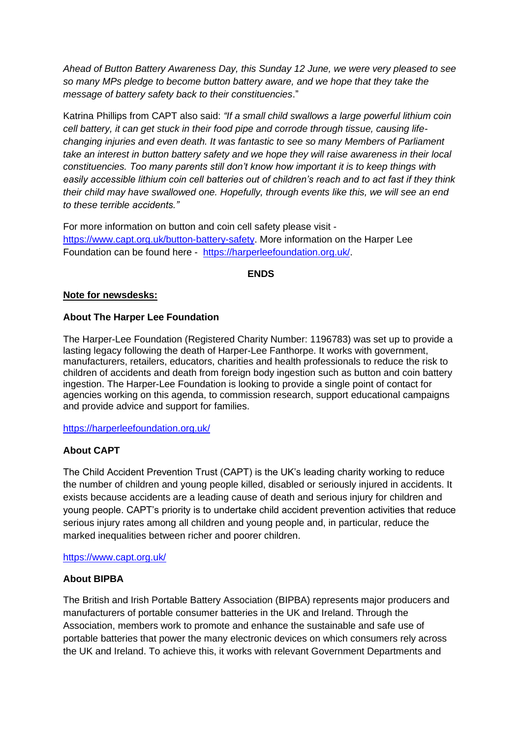*Ahead of Button Battery Awareness Day, this Sunday 12 June, we were very pleased to see so many MPs pledge to become button battery aware, and we hope that they take the message of battery safety back to their constituencies*."

Katrina Phillips from CAPT also said: *"If a small child swallows a large powerful lithium coin cell battery, it can get stuck in their food pipe and corrode through tissue, causing lifechanging injuries and even death. It was fantastic to see so many Members of Parliament take an interest in button battery safety and we hope they will raise awareness in their local constituencies. Too many parents still don't know how important it is to keep things with easily accessible lithium coin cell batteries out of children's reach and to act fast if they think their child may have swallowed one. Hopefully, through events like this, we will see an end to these terrible accidents."*

For more information on button and coin cell safety please visit [https://www.capt.org.uk/button-battery-safety.](https://www.capt.org.uk/button-battery-safety) More information on the Harper Lee Foundation can be found here - [https://harperleefoundation.org.uk/.](https://harperleefoundation.org.uk/)

**ENDS**

## **Note for newsdesks:**

## **About The Harper Lee Foundation**

The Harper-Lee Foundation (Registered Charity Number: 1196783) was set up to provide a lasting legacy following the death of Harper-Lee Fanthorpe. It works with government, manufacturers, retailers, educators, charities and health professionals to reduce the risk to children of accidents and death from foreign body ingestion such as button and coin battery ingestion. The Harper-Lee Foundation is looking to provide a single point of contact for agencies working on this agenda, to commission research, support educational campaigns and provide advice and support for families.

<https://harperleefoundation.org.uk/>

# **About CAPT**

The Child Accident Prevention Trust (CAPT) is the UK's leading charity working to reduce the number of children and young people killed, disabled or seriously injured in accidents. It exists because accidents are a leading cause of death and serious injury for children and young people. CAPT's priority is to undertake child accident prevention activities that reduce serious injury rates among all children and young people and, in particular, reduce the marked inequalities between richer and poorer children.

#### <https://www.capt.org.uk/>

#### **About BIPBA**

The British and Irish Portable Battery Association (BIPBA) represents major producers and manufacturers of portable consumer batteries in the UK and Ireland. Through the Association, members work to promote and enhance the sustainable and safe use of portable batteries that power the many electronic devices on which consumers rely across the UK and Ireland. To achieve this, it works with relevant Government Departments and